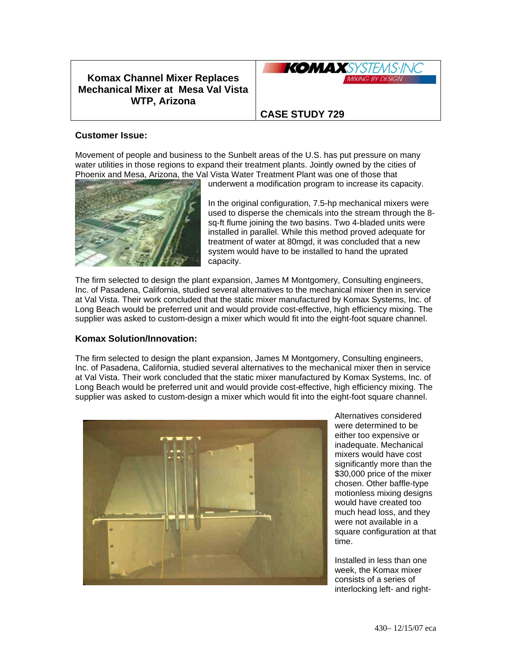## **Komax Channel Mixer Replaces Mechanical Mixer at Mesa Val Vista WTP, Arizona**



## **CASE STUDY 729**

## **Customer Issue:**

Movement of people and business to the Sunbelt areas of the U.S. has put pressure on many water utilities in those regions to expand their treatment plants. Jointly owned by the cities of Phoenix and Mesa, Arizona, the Val Vista Water Treatment Plant was one of those that



underwent a modification program to increase its capacity.

In the original configuration, 7.5-hp mechanical mixers were used to disperse the chemicals into the stream through the 8 sq-ft flume joining the two basins. Two 4-bladed units were installed in parallel. While this method proved adequate for treatment of water at 80mgd, it was concluded that a new system would have to be installed to hand the uprated capacity.

The firm selected to design the plant expansion, James M Montgomery, Consulting engineers, Inc. of Pasadena, California, studied several alternatives to the mechanical mixer then in service at Val Vista. Their work concluded that the static mixer manufactured by Komax Systems, Inc. of Long Beach would be preferred unit and would provide cost-effective, high efficiency mixing. The supplier was asked to custom-design a mixer which would fit into the eight-foot square channel.

## **Komax Solution/Innovation:**

The firm selected to design the plant expansion, James M Montgomery, Consulting engineers, Inc. of Pasadena, California, studied several alternatives to the mechanical mixer then in service at Val Vista. Their work concluded that the static mixer manufactured by Komax Systems, Inc. of Long Beach would be preferred unit and would provide cost-effective, high efficiency mixing. The supplier was asked to custom-design a mixer which would fit into the eight-foot square channel.



Alternatives considered were determined to be either too expensive or inadequate. Mechanical mixers would have cost significantly more than the \$30,000 price of the mixer chosen. Other baffle-type motionless mixing designs would have created too much head loss, and they were not available in a square configuration at that time.

Installed in less than one week, the Komax mixer consists of a series of interlocking left- and right-